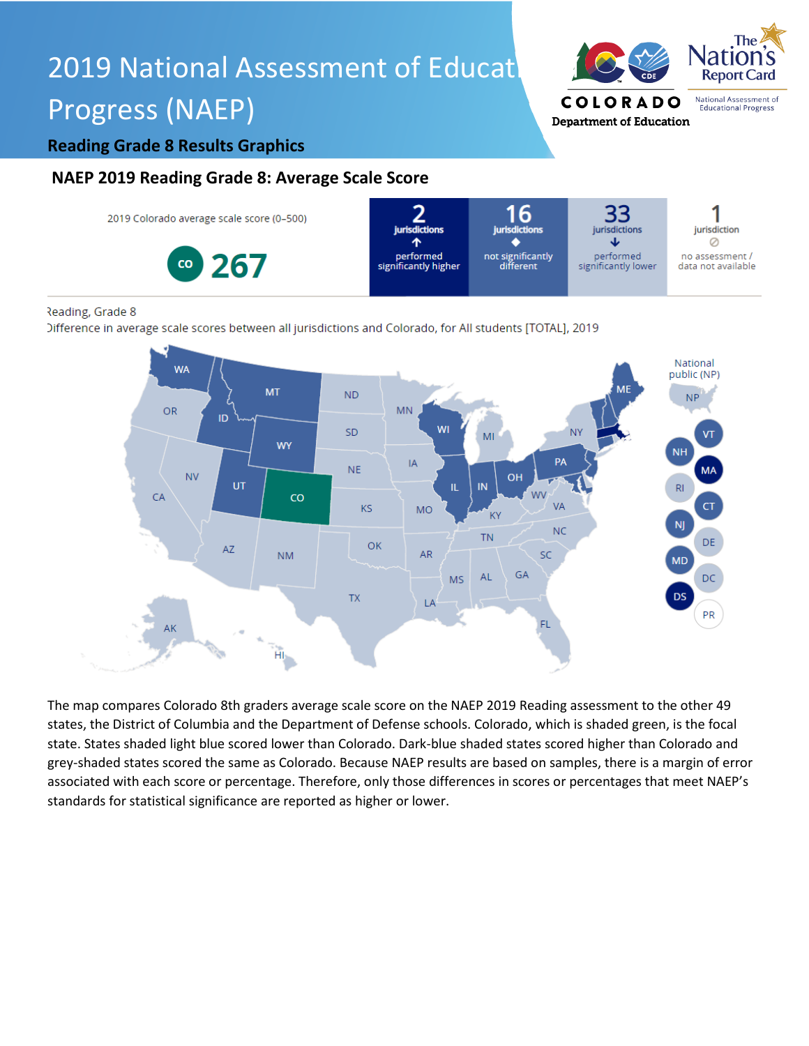# 2019 National Assessment of Educat Progress (NAEP)



#### **Reading Grade 8 Results Graphics**

### **NAEP 2019 Reading Grade 8: Average Scale Score**



#### Reading, Grade 8

Difference in average scale scores between all jurisdictions and Colorado, for All students [TOTAL], 2019



The map compares Colorado 8th graders average scale score on the NAEP 2019 Reading assessment to the other 49 states, the District of Columbia and the Department of Defense schools. Colorado, which is shaded green, is the focal state. States shaded light blue scored lower than Colorado. Dark-blue shaded states scored higher than Colorado and grey-shaded states scored the same as Colorado. Because NAEP results are based on samples, there is a margin of error associated with each score or percentage. Therefore, only those differences in scores or percentages that meet NAEP's standards for statistical significance are reported as higher or lower.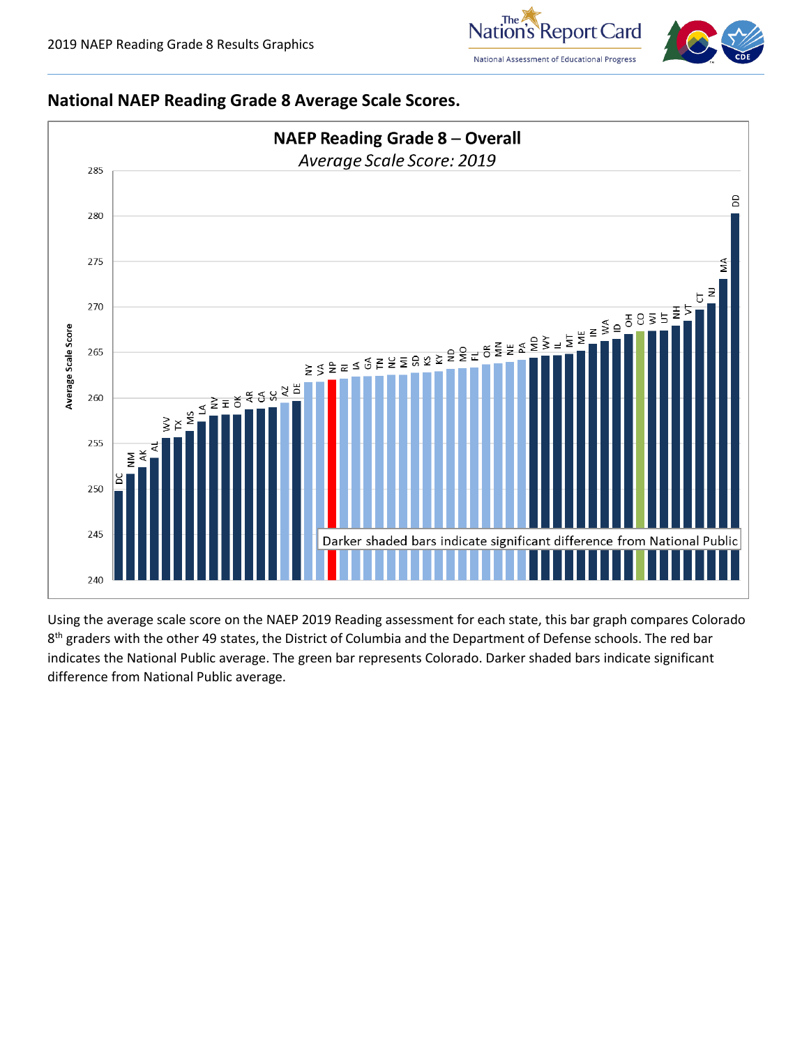



#### **National NAEP Reading Grade 8 Average Scale Scores.**



Using the average scale score on the NAEP 2019 Reading assessment for each state, this bar graph compares Colorado 8<sup>th</sup> graders with the other 49 states, the District of Columbia and the Department of Defense schools. The red bar indicates the National Public average. The green bar represents Colorado. Darker shaded bars indicate significant difference from National Public average.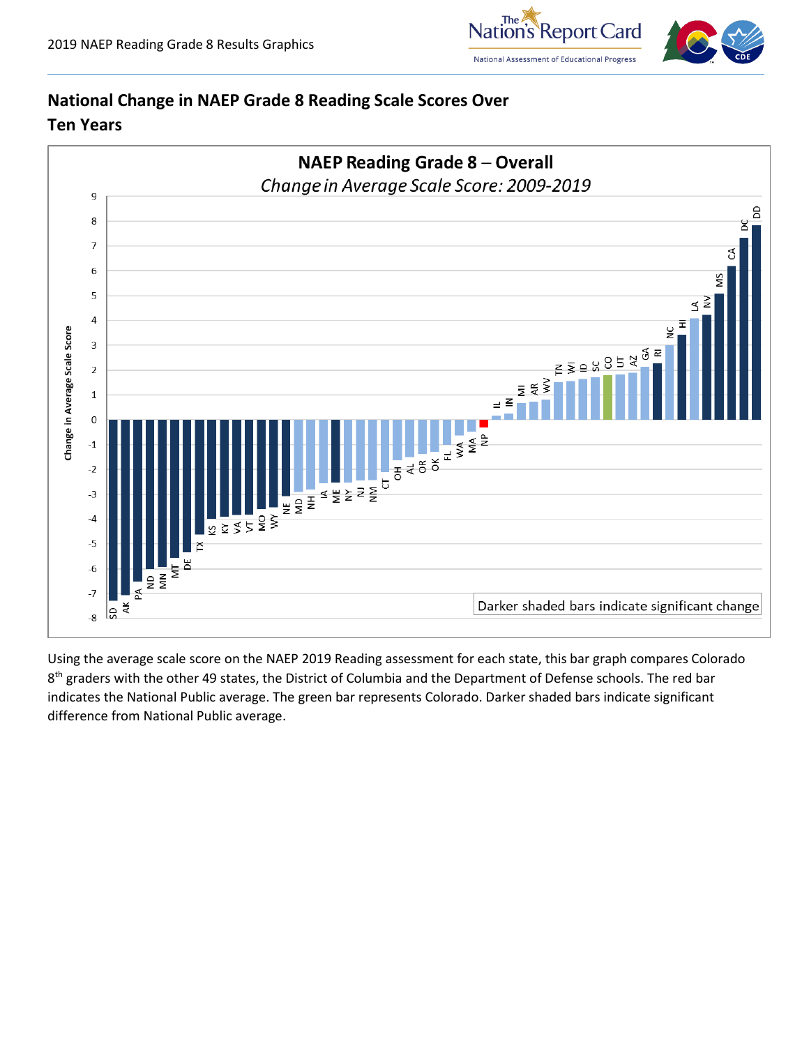

# **National Change in NAEP Grade 8 Reading Scale Scores Over Ten Years**



Using the average scale score on the NAEP 2019 Reading assessment for each state, this bar graph compares Colorado 8<sup>th</sup> graders with the other 49 states, the District of Columbia and the Department of Defense schools. The red bar indicates the National Public average. The green bar represents Colorado. Darker shaded bars indicate significant difference from National Public average.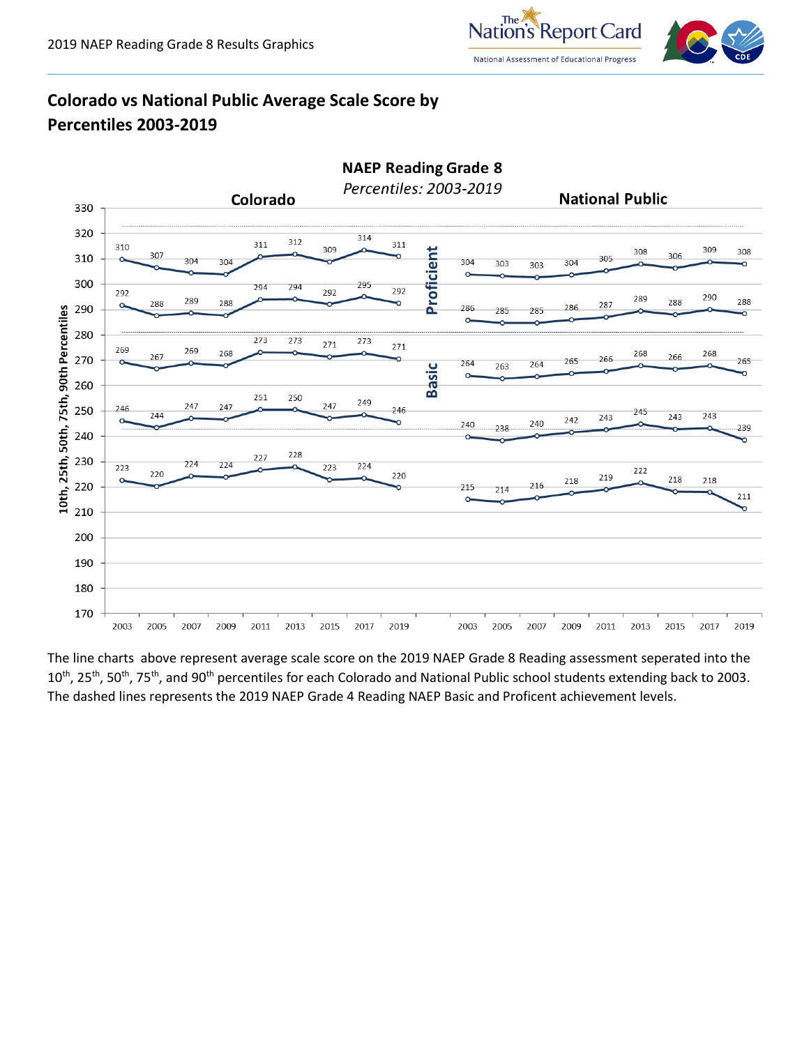

# **Colorado vs National Public Average Scale Score by Percentiles 2003-2019**



The line charts above represent average scale score on the 2019 NAEP Grade 8 Reading assessment seperated into the 10<sup>th</sup>, 25<sup>th</sup>, 50<sup>th</sup>, 75<sup>th</sup>, and 90<sup>th</sup> percentiles for each Colorado and National Public school students extending back to 2003. The dashed lines represents the 2019 NAEP Grade 4 Reading NAEP Basic and Proficent achievement levels.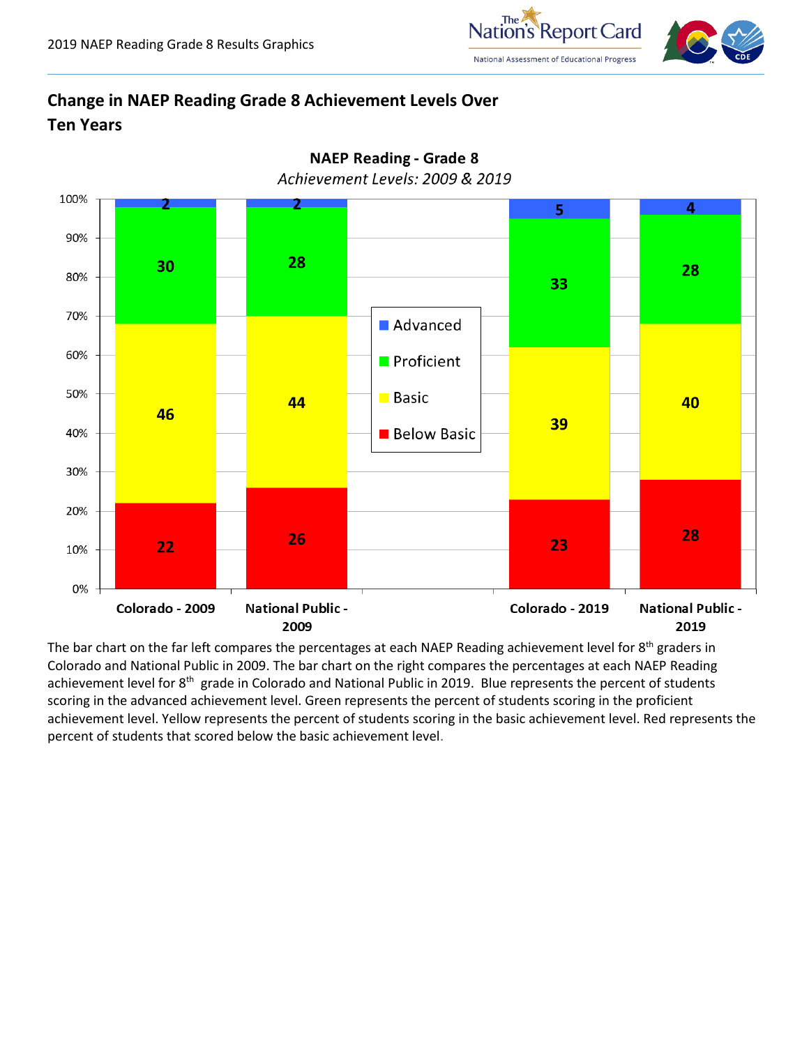



# **Change in NAEP Reading Grade 8 Achievement Levels Over Ten Years**



The bar chart on the far left compares the percentages at each NAEP Reading achievement level for 8<sup>th</sup> graders in Colorado and National Public in 2009. The bar chart on the right compares the percentages at each NAEP Reading achievement level for 8<sup>th</sup> grade in Colorado and National Public in 2019. Blue represents the percent of students scoring in the advanced achievement level. Green represents the percent of students scoring in the proficient achievement level. Yellow represents the percent of students scoring in the basic achievement level. Red represents the percent of students that scored below the basic achievement level.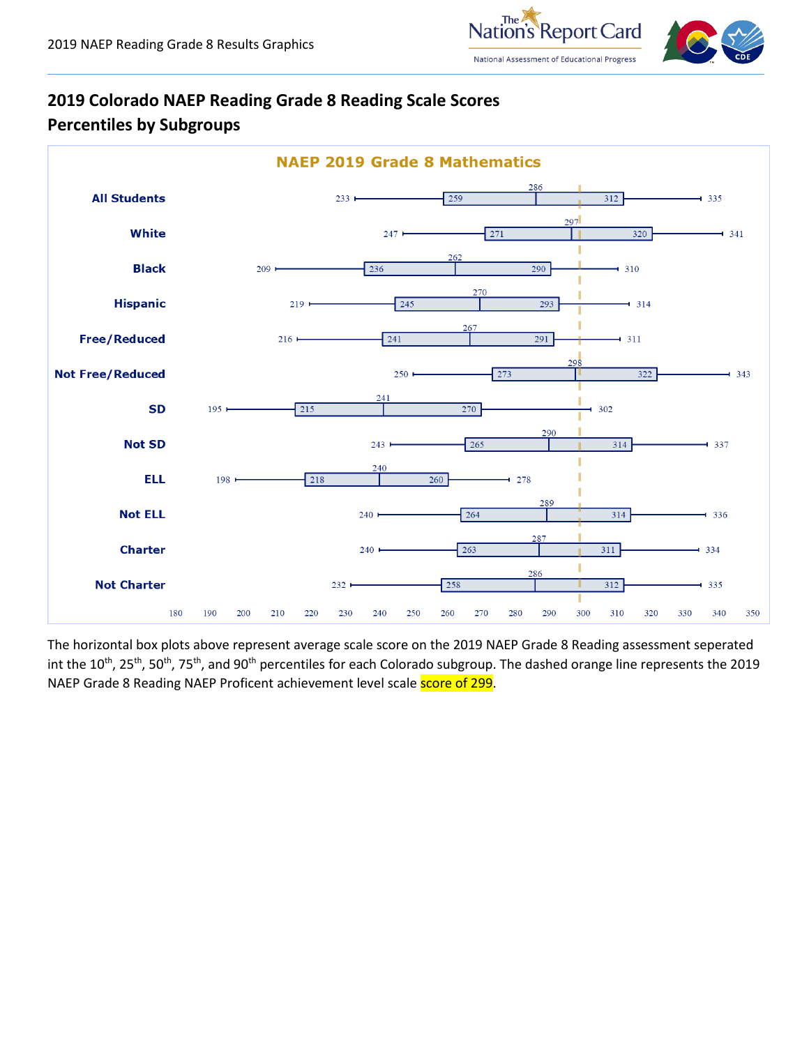



# **2019 Colorado NAEP Reading Grade 8 Reading Scale Scores Percentiles by Subgroups**



The horizontal box plots above represent average scale score on the 2019 NAEP Grade 8 Reading assessment seperated int the 10<sup>th</sup>, 25<sup>th</sup>, 50<sup>th</sup>, 75<sup>th</sup>, and 90<sup>th</sup> percentiles for each Colorado subgroup. The dashed orange line represents the 2019 NAEP Grade 8 Reading NAEP Proficent achievement level scale score of 299.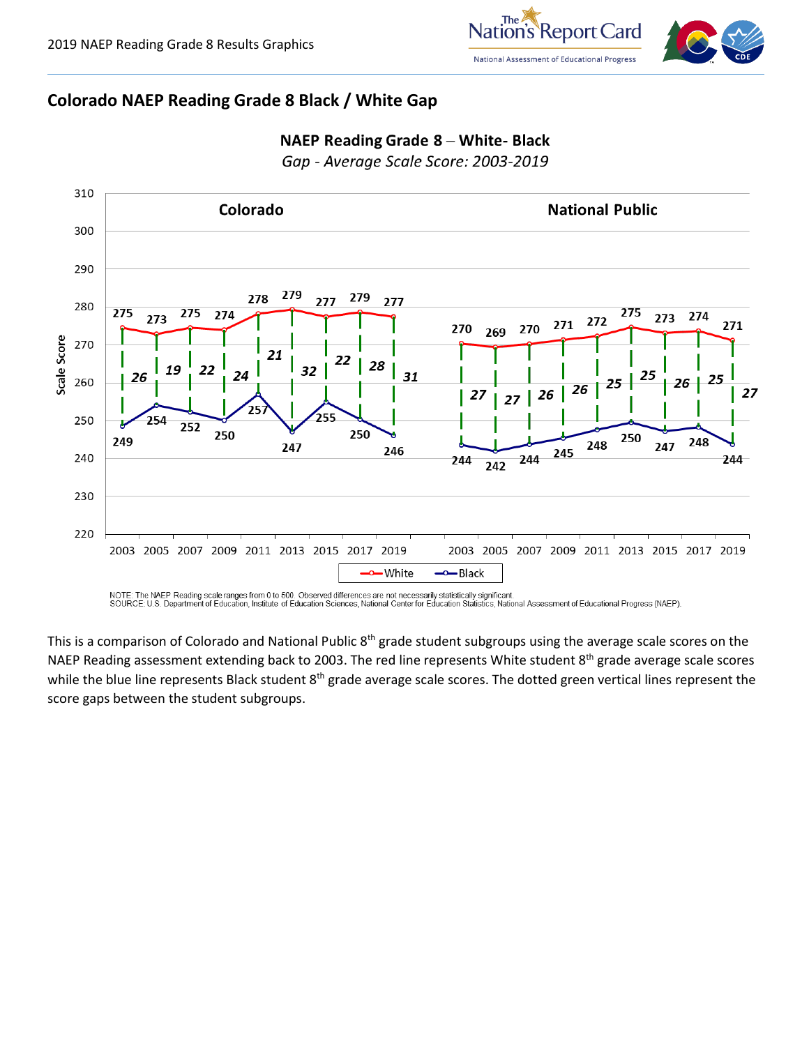

#### **Colorado NAEP Reading Grade 8 Black / White Gap**



### NAEP Reading Grade 8 - White- Black

Gap - Average Scale Score: 2003-2019

NOTE: The NAEP Reading scale ranges from 0 to 500. Observed differences are not necessarily statistically significant.<br>SOURCE: U.S. Department of Education, Institute of Education Sciences, National Center for Education St

This is a comparison of Colorado and National Public 8<sup>th</sup> grade student subgroups using the average scale scores on the NAEP Reading assessment extending back to 2003. The red line represents White student 8<sup>th</sup> grade average scale scores while the blue line represents Black student  $8^{th}$  grade average scale scores. The dotted green vertical lines represent the score gaps between the student subgroups.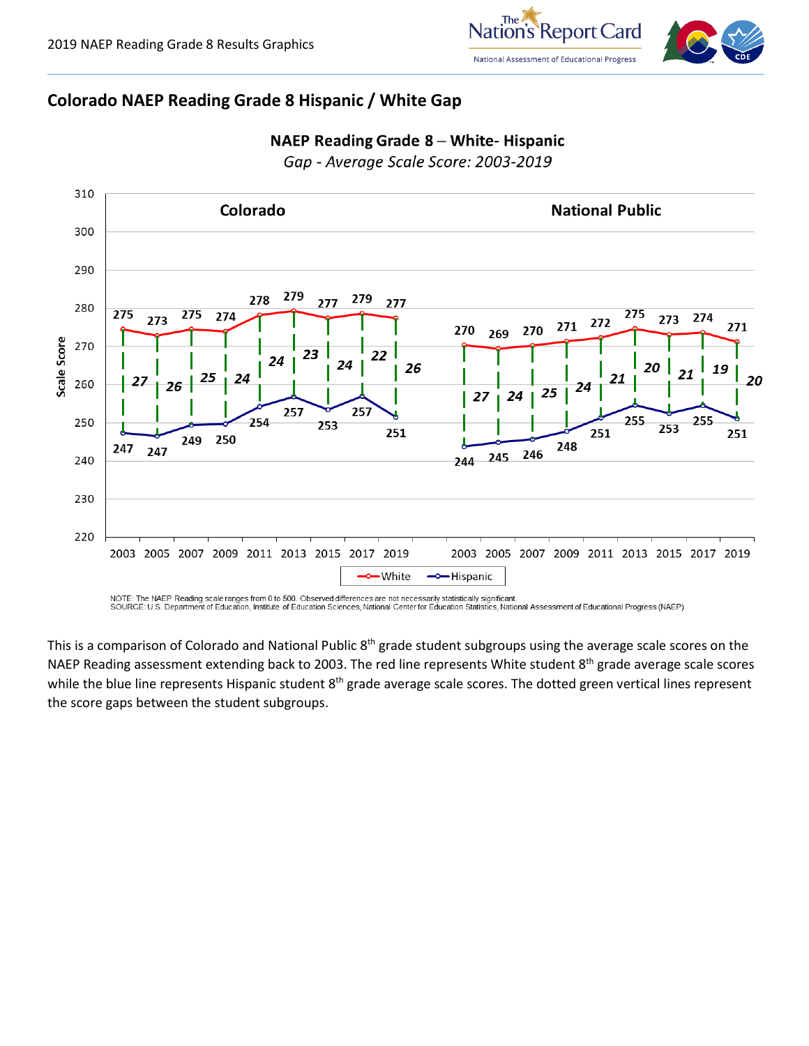

#### **Colorado NAEP Reading Grade 8 Hispanic / White Gap**



#### NAEP Reading Grade 8 - White- Hispanic

Gap - Average Scale Score: 2003-2019

NOTE: The NAEP Reading scale ranges from 0 to 500. Observed differences are not necessarily statistically significant.<br>SOURCE: U.S. Department of Education, Institute of Education Sciences, National Center for Education St

This is a comparison of Colorado and National Public 8<sup>th</sup> grade student subgroups using the average scale scores on the NAEP Reading assessment extending back to 2003. The red line represents White student 8<sup>th</sup> grade average scale scores while the blue line represents Hispanic student  $8^{th}$  grade average scale scores. The dotted green vertical lines represent the score gaps between the student subgroups.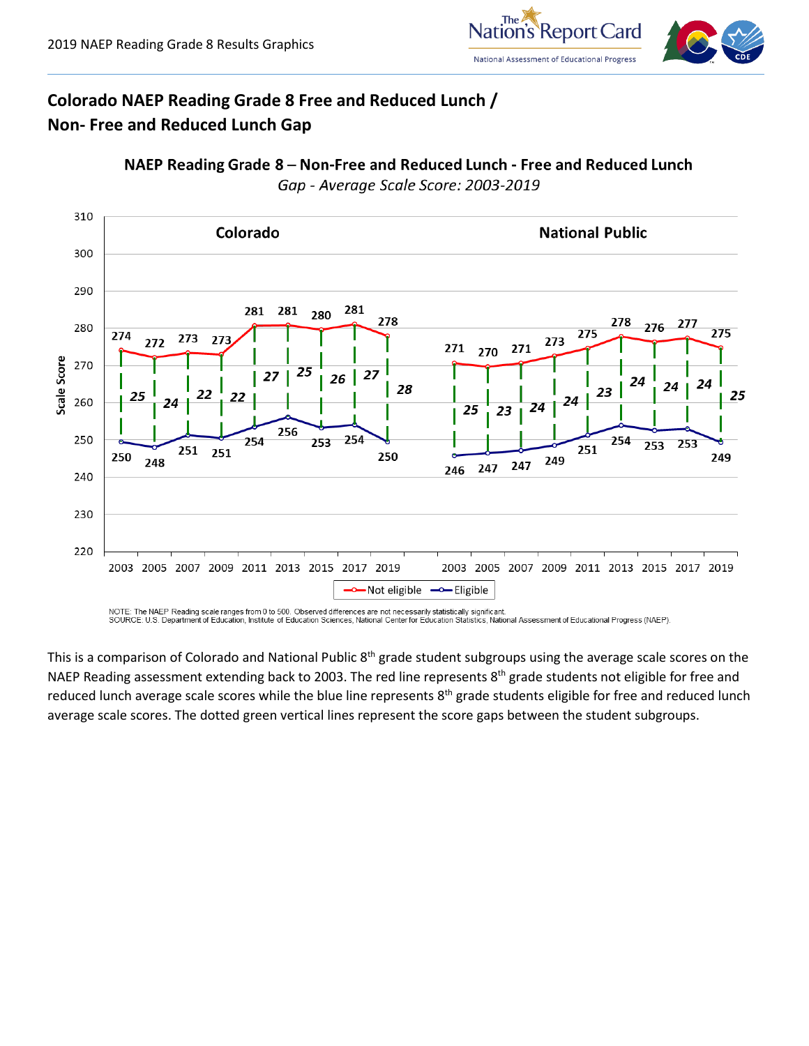

# **Colorado NAEP Reading Grade 8 Free and Reduced Lunch / Non- Free and Reduced Lunch Gap**





NOTE: The NAEP Reading scale ranges from 0 to 500. Observed differences are not necessarily statistically significant SOURCE: U.S. Department of Education, Institute of Education Sciences, National Center for Education Statistics, National Assessment of Educational Progress (NAEP).

This is a comparison of Colorado and National Public 8<sup>th</sup> grade student subgroups using the average scale scores on the NAEP Reading assessment extending back to 2003. The red line represents 8<sup>th</sup> grade students not eligible for free and reduced lunch average scale scores while the blue line represents 8<sup>th</sup> grade students eligible for free and reduced lunch average scale scores. The dotted green vertical lines represent the score gaps between the student subgroups.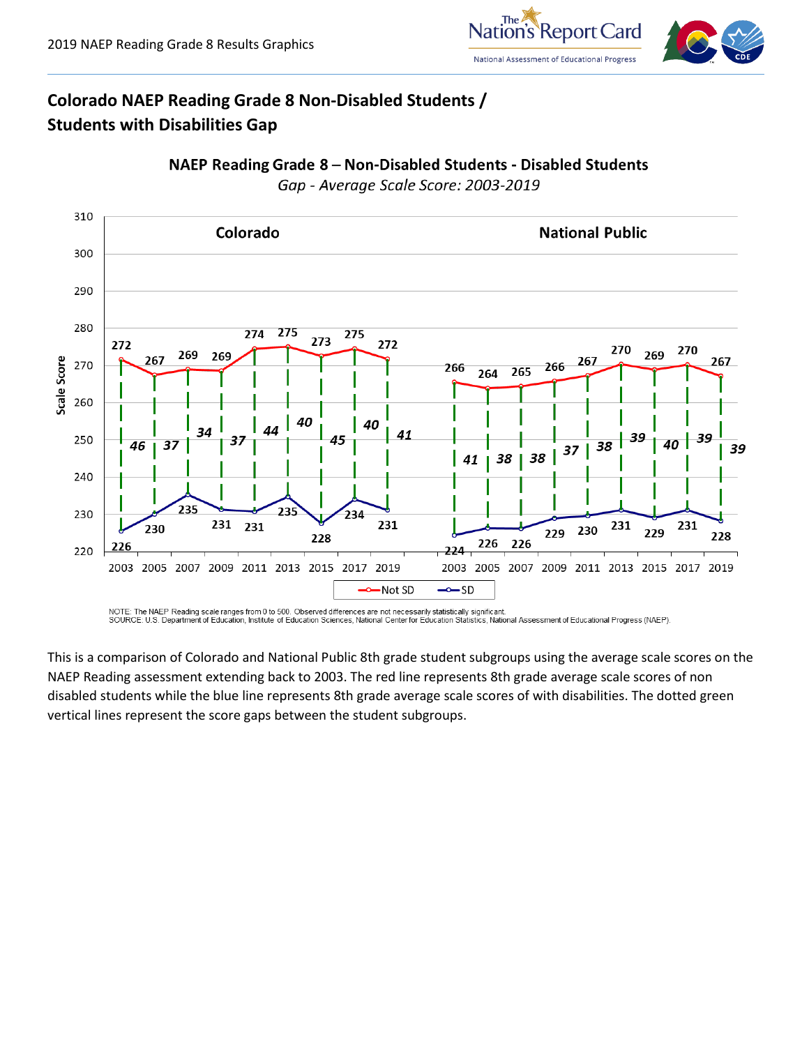

# **Colorado NAEP Reading Grade 8 Non-Disabled Students / Students with Disabilities Gap**



NAEP Reading Grade 8 - Non-Disabled Students - Disabled Students Gap - Average Scale Score: 2003-2019

NOTE: The NAEP Reading scale ranges from 0 to 500. Observed differences are not necessarily statistically significant. SOURCE: U.S. Department of Education, Institute of Education Sciences, National Center for Education Statistics, National Assessment of Educational Progress (NAEP).

This is a comparison of Colorado and National Public 8th grade student subgroups using the average scale scores on the NAEP Reading assessment extending back to 2003. The red line represents 8th grade average scale scores of non disabled students while the blue line represents 8th grade average scale scores of with disabilities. The dotted green vertical lines represent the score gaps between the student subgroups.